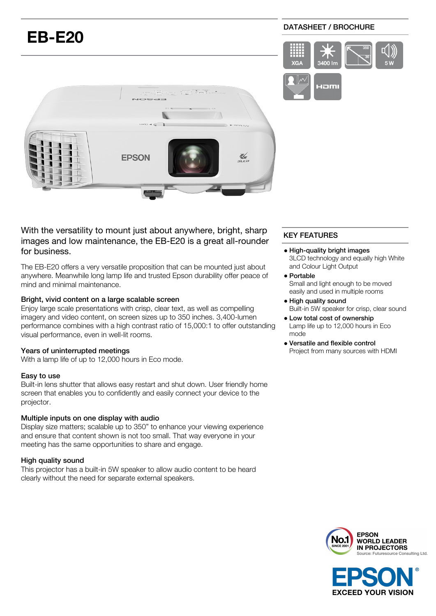

With the versatility to mount just about anywhere, bright, sharp images and low maintenance, the EB-E20 is a great all-rounder for business.

The EB-E20 offers a very versatile proposition that can be mounted just about anywhere. Meanwhile long lamp life and trusted Epson durability offer peace of mind and minimal maintenance.

## Bright, vivid content on a large scalable screen

Enjoy large scale presentations with crisp, clear text, as well as compelling imagery and video content, on screen sizes up to 350 inches. 3,400-lumen performance combines with a high contrast ratio of 15,000:1 to offer outstanding visual performance, even in well-lit rooms.

#### Years of uninterrupted meetings

With a lamp life of up to 12,000 hours in Eco mode.

#### Easy to use

Built-in lens shutter that allows easy restart and shut down. User friendly home screen that enables you to confidently and easily connect your device to the projector.

#### Multiple inputs on one display with audio

Display size matters; scalable up to 350" to enhance your viewing experience and ensure that content shown is not too small. That way everyone in your meeting has the same opportunities to share and engage.

#### High quality sound

This projector has a built-in 5W speaker to allow audio content to be heard clearly without the need for separate external speakers.

# KEY FEATURES

- High-quality bright images 3LCD technology and equally high White and Colour Light Output
- Portable Small and light enough to be moved easily and used in multiple rooms
- High quality sound Built-in 5W speaker for crisp, clear sound
- Low total cost of ownership Lamp life up to 12,000 hours in Eco mode
- Versatile and flexible control Project from many sources with HDMI



**EXCEED YOUR VISION**